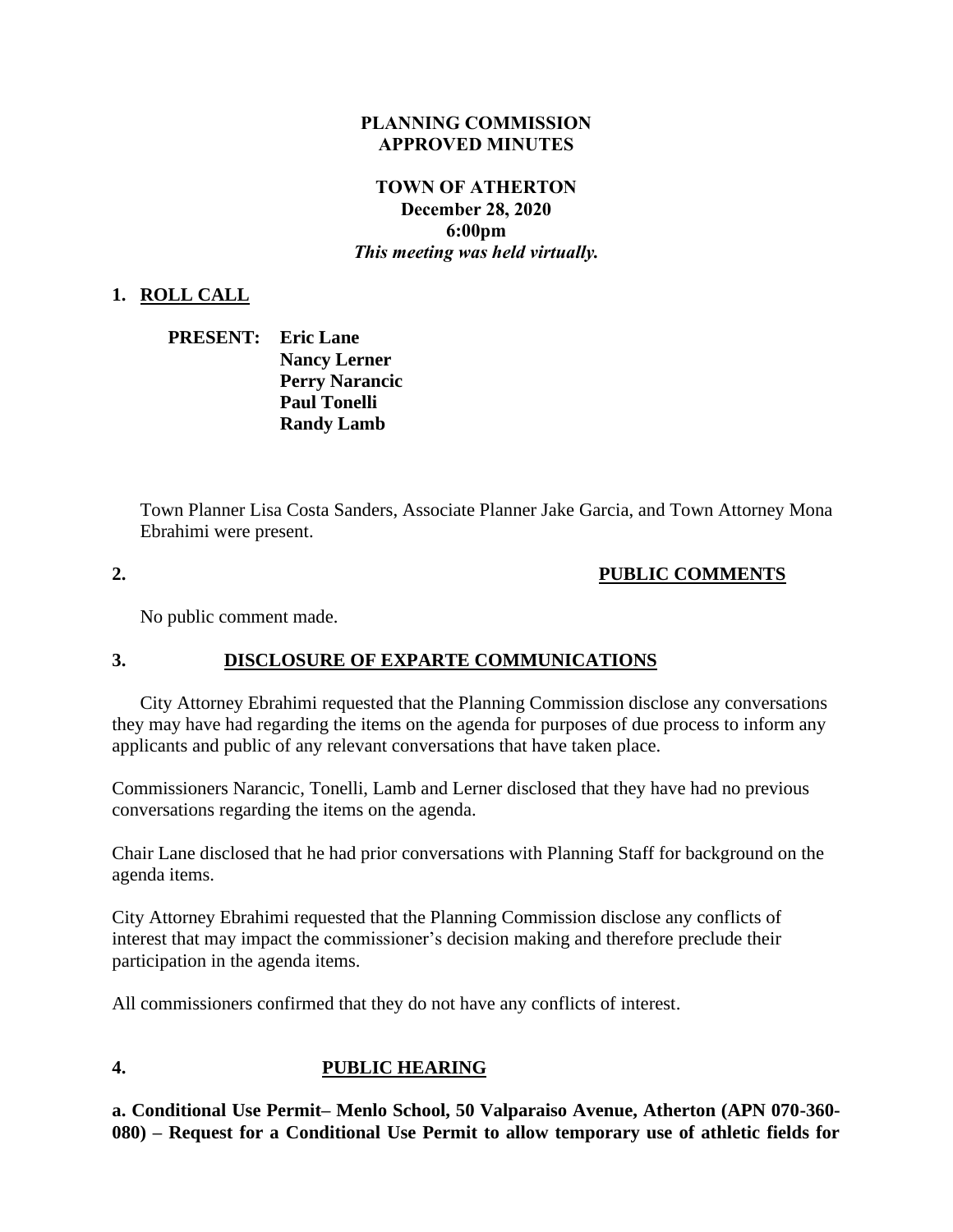#### **PLANNING COMMISSION APPROVED MINUTES**

## **TOWN OF ATHERTON December 28, 2020 6:00pm** *This meeting was held virtually.*

### **1. ROLL CALL**

| <b>PRESENT:</b> Eric Lane |                       |
|---------------------------|-----------------------|
|                           | <b>Nancy Lerner</b>   |
|                           | <b>Perry Narancic</b> |
|                           | <b>Paul Tonelli</b>   |
|                           | <b>Randy Lamb</b>     |

Town Planner Lisa Costa Sanders, Associate Planner Jake Garcia, and Town Attorney Mona Ebrahimi were present.

## **2. PUBLIC COMMENTS**

No public comment made.

## **3. DISCLOSURE OF EXPARTE COMMUNICATIONS**

City Attorney Ebrahimi requested that the Planning Commission disclose any conversations they may have had regarding the items on the agenda for purposes of due process to inform any applicants and public of any relevant conversations that have taken place.

Commissioners Narancic, Tonelli, Lamb and Lerner disclosed that they have had no previous conversations regarding the items on the agenda.

Chair Lane disclosed that he had prior conversations with Planning Staff for background on the agenda items.

City Attorney Ebrahimi requested that the Planning Commission disclose any conflicts of interest that may impact the commissioner's decision making and therefore preclude their participation in the agenda items.

All commissioners confirmed that they do not have any conflicts of interest.

# **4. PUBLIC HEARING**

**a. Conditional Use Permit– Menlo School, 50 Valparaiso Avenue, Atherton (APN 070-360- 080) – Request for a Conditional Use Permit to allow temporary use of athletic fields for**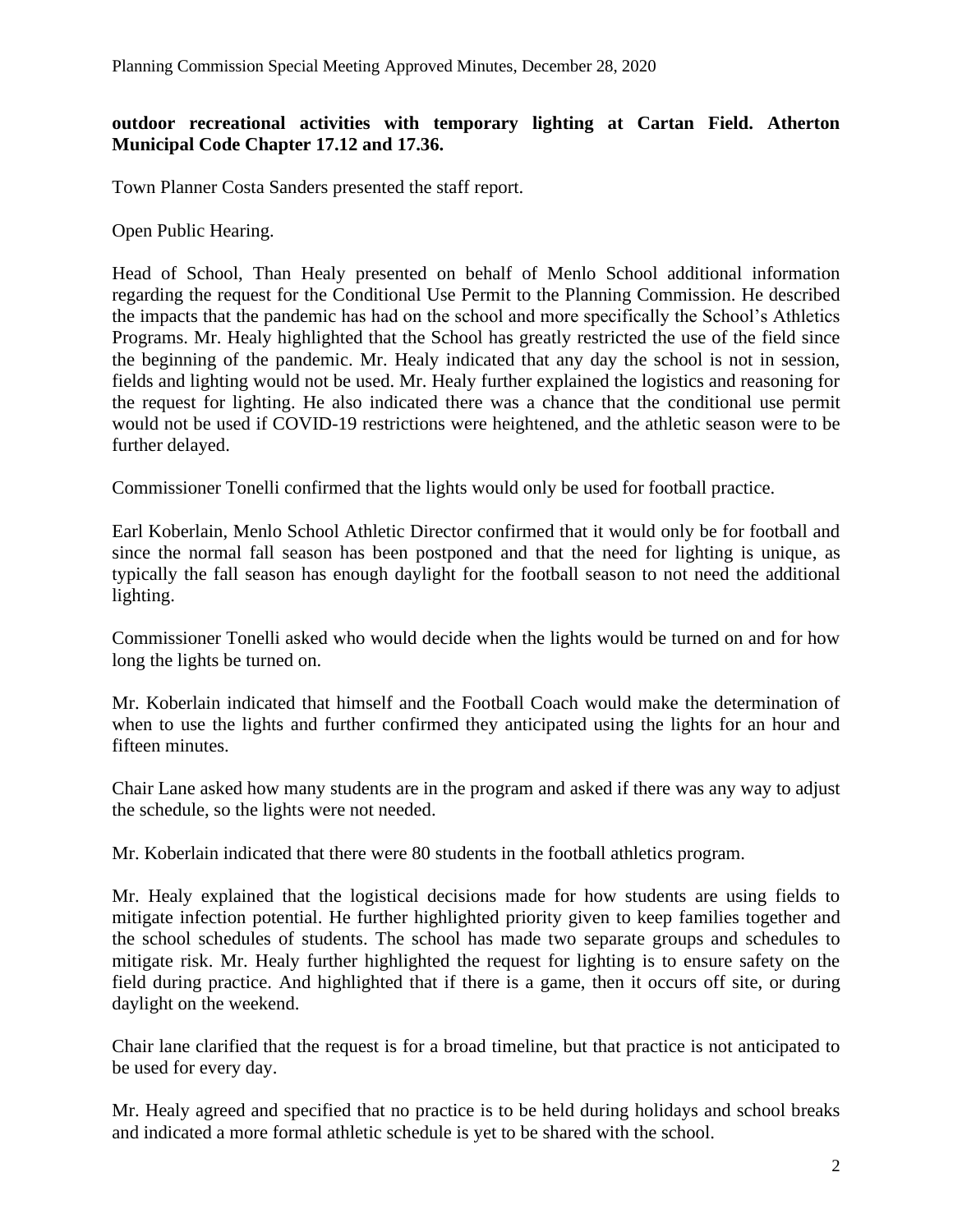### **outdoor recreational activities with temporary lighting at Cartan Field. Atherton Municipal Code Chapter 17.12 and 17.36.**

Town Planner Costa Sanders presented the staff report.

Open Public Hearing.

Head of School, Than Healy presented on behalf of Menlo School additional information regarding the request for the Conditional Use Permit to the Planning Commission. He described the impacts that the pandemic has had on the school and more specifically the School's Athletics Programs. Mr. Healy highlighted that the School has greatly restricted the use of the field since the beginning of the pandemic. Mr. Healy indicated that any day the school is not in session, fields and lighting would not be used. Mr. Healy further explained the logistics and reasoning for the request for lighting. He also indicated there was a chance that the conditional use permit would not be used if COVID-19 restrictions were heightened, and the athletic season were to be further delayed.

Commissioner Tonelli confirmed that the lights would only be used for football practice.

Earl Koberlain, Menlo School Athletic Director confirmed that it would only be for football and since the normal fall season has been postponed and that the need for lighting is unique, as typically the fall season has enough daylight for the football season to not need the additional lighting.

Commissioner Tonelli asked who would decide when the lights would be turned on and for how long the lights be turned on.

Mr. Koberlain indicated that himself and the Football Coach would make the determination of when to use the lights and further confirmed they anticipated using the lights for an hour and fifteen minutes.

Chair Lane asked how many students are in the program and asked if there was any way to adjust the schedule, so the lights were not needed.

Mr. Koberlain indicated that there were 80 students in the football athletics program.

Mr. Healy explained that the logistical decisions made for how students are using fields to mitigate infection potential. He further highlighted priority given to keep families together and the school schedules of students. The school has made two separate groups and schedules to mitigate risk. Mr. Healy further highlighted the request for lighting is to ensure safety on the field during practice. And highlighted that if there is a game, then it occurs off site, or during daylight on the weekend.

Chair lane clarified that the request is for a broad timeline, but that practice is not anticipated to be used for every day.

Mr. Healy agreed and specified that no practice is to be held during holidays and school breaks and indicated a more formal athletic schedule is yet to be shared with the school.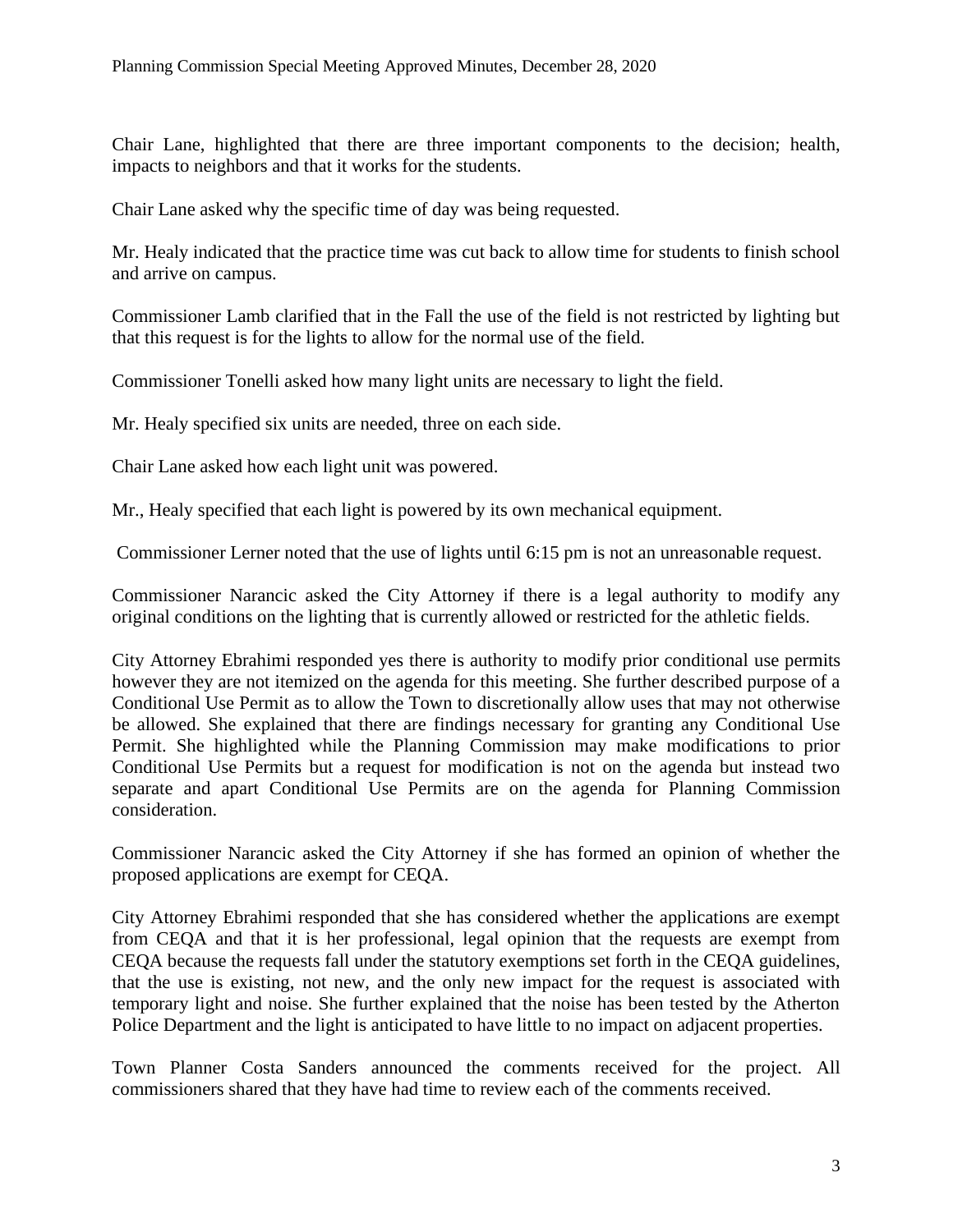Chair Lane, highlighted that there are three important components to the decision; health, impacts to neighbors and that it works for the students.

Chair Lane asked why the specific time of day was being requested.

Mr. Healy indicated that the practice time was cut back to allow time for students to finish school and arrive on campus.

Commissioner Lamb clarified that in the Fall the use of the field is not restricted by lighting but that this request is for the lights to allow for the normal use of the field.

Commissioner Tonelli asked how many light units are necessary to light the field.

Mr. Healy specified six units are needed, three on each side.

Chair Lane asked how each light unit was powered.

Mr., Healy specified that each light is powered by its own mechanical equipment.

Commissioner Lerner noted that the use of lights until 6:15 pm is not an unreasonable request.

Commissioner Narancic asked the City Attorney if there is a legal authority to modify any original conditions on the lighting that is currently allowed or restricted for the athletic fields.

City Attorney Ebrahimi responded yes there is authority to modify prior conditional use permits however they are not itemized on the agenda for this meeting. She further described purpose of a Conditional Use Permit as to allow the Town to discretionally allow uses that may not otherwise be allowed. She explained that there are findings necessary for granting any Conditional Use Permit. She highlighted while the Planning Commission may make modifications to prior Conditional Use Permits but a request for modification is not on the agenda but instead two separate and apart Conditional Use Permits are on the agenda for Planning Commission consideration.

Commissioner Narancic asked the City Attorney if she has formed an opinion of whether the proposed applications are exempt for CEQA.

City Attorney Ebrahimi responded that she has considered whether the applications are exempt from CEQA and that it is her professional, legal opinion that the requests are exempt from CEQA because the requests fall under the statutory exemptions set forth in the CEQA guidelines, that the use is existing, not new, and the only new impact for the request is associated with temporary light and noise. She further explained that the noise has been tested by the Atherton Police Department and the light is anticipated to have little to no impact on adjacent properties.

Town Planner Costa Sanders announced the comments received for the project. All commissioners shared that they have had time to review each of the comments received.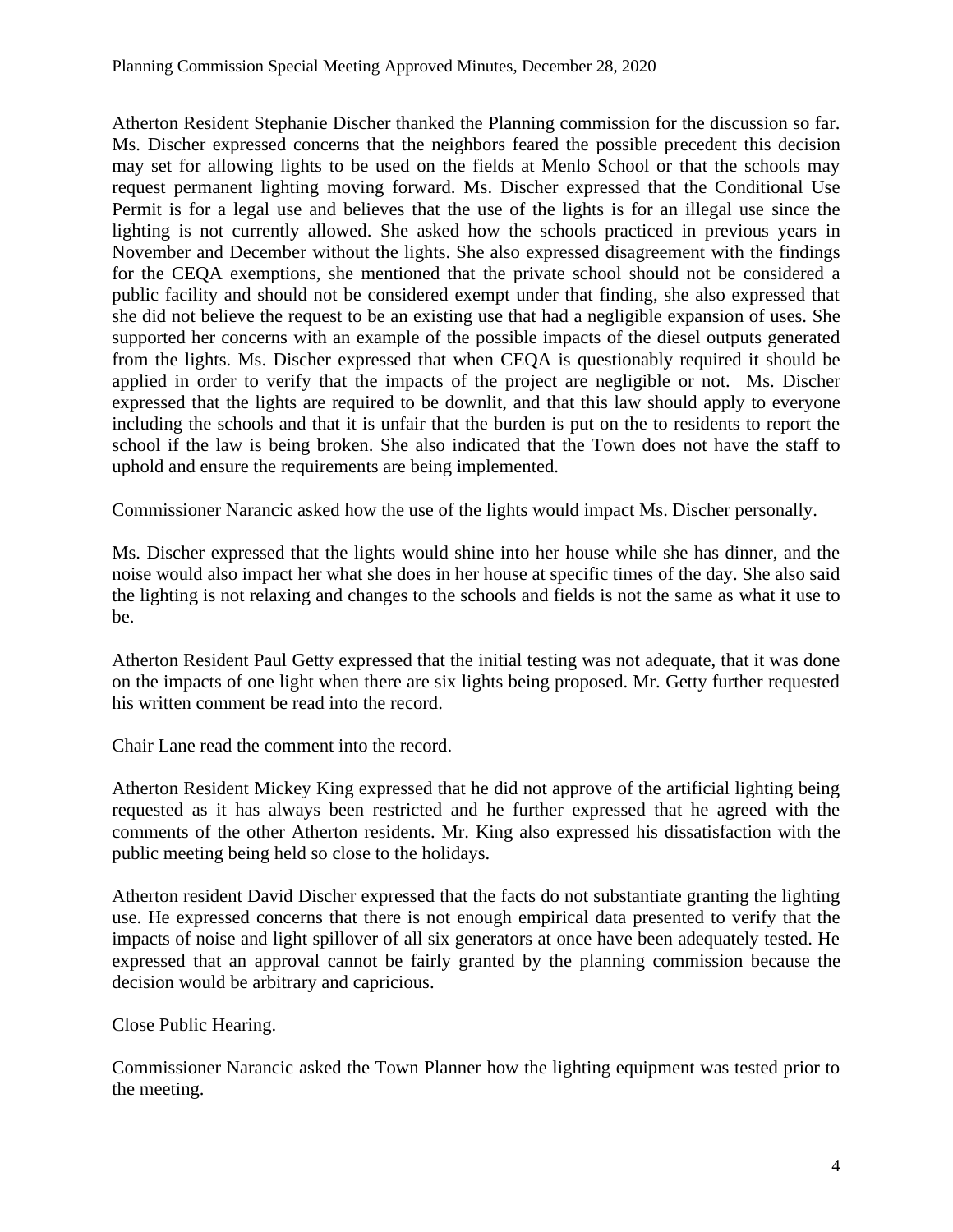Atherton Resident Stephanie Discher thanked the Planning commission for the discussion so far. Ms. Discher expressed concerns that the neighbors feared the possible precedent this decision may set for allowing lights to be used on the fields at Menlo School or that the schools may request permanent lighting moving forward. Ms. Discher expressed that the Conditional Use Permit is for a legal use and believes that the use of the lights is for an illegal use since the lighting is not currently allowed. She asked how the schools practiced in previous years in November and December without the lights. She also expressed disagreement with the findings for the CEQA exemptions, she mentioned that the private school should not be considered a public facility and should not be considered exempt under that finding, she also expressed that she did not believe the request to be an existing use that had a negligible expansion of uses. She supported her concerns with an example of the possible impacts of the diesel outputs generated from the lights. Ms. Discher expressed that when CEQA is questionably required it should be applied in order to verify that the impacts of the project are negligible or not. Ms. Discher expressed that the lights are required to be downlit, and that this law should apply to everyone including the schools and that it is unfair that the burden is put on the to residents to report the school if the law is being broken. She also indicated that the Town does not have the staff to uphold and ensure the requirements are being implemented.

Commissioner Narancic asked how the use of the lights would impact Ms. Discher personally.

Ms. Discher expressed that the lights would shine into her house while she has dinner, and the noise would also impact her what she does in her house at specific times of the day. She also said the lighting is not relaxing and changes to the schools and fields is not the same as what it use to be.

Atherton Resident Paul Getty expressed that the initial testing was not adequate, that it was done on the impacts of one light when there are six lights being proposed. Mr. Getty further requested his written comment be read into the record.

Chair Lane read the comment into the record.

Atherton Resident Mickey King expressed that he did not approve of the artificial lighting being requested as it has always been restricted and he further expressed that he agreed with the comments of the other Atherton residents. Mr. King also expressed his dissatisfaction with the public meeting being held so close to the holidays.

Atherton resident David Discher expressed that the facts do not substantiate granting the lighting use. He expressed concerns that there is not enough empirical data presented to verify that the impacts of noise and light spillover of all six generators at once have been adequately tested. He expressed that an approval cannot be fairly granted by the planning commission because the decision would be arbitrary and capricious.

Close Public Hearing.

Commissioner Narancic asked the Town Planner how the lighting equipment was tested prior to the meeting.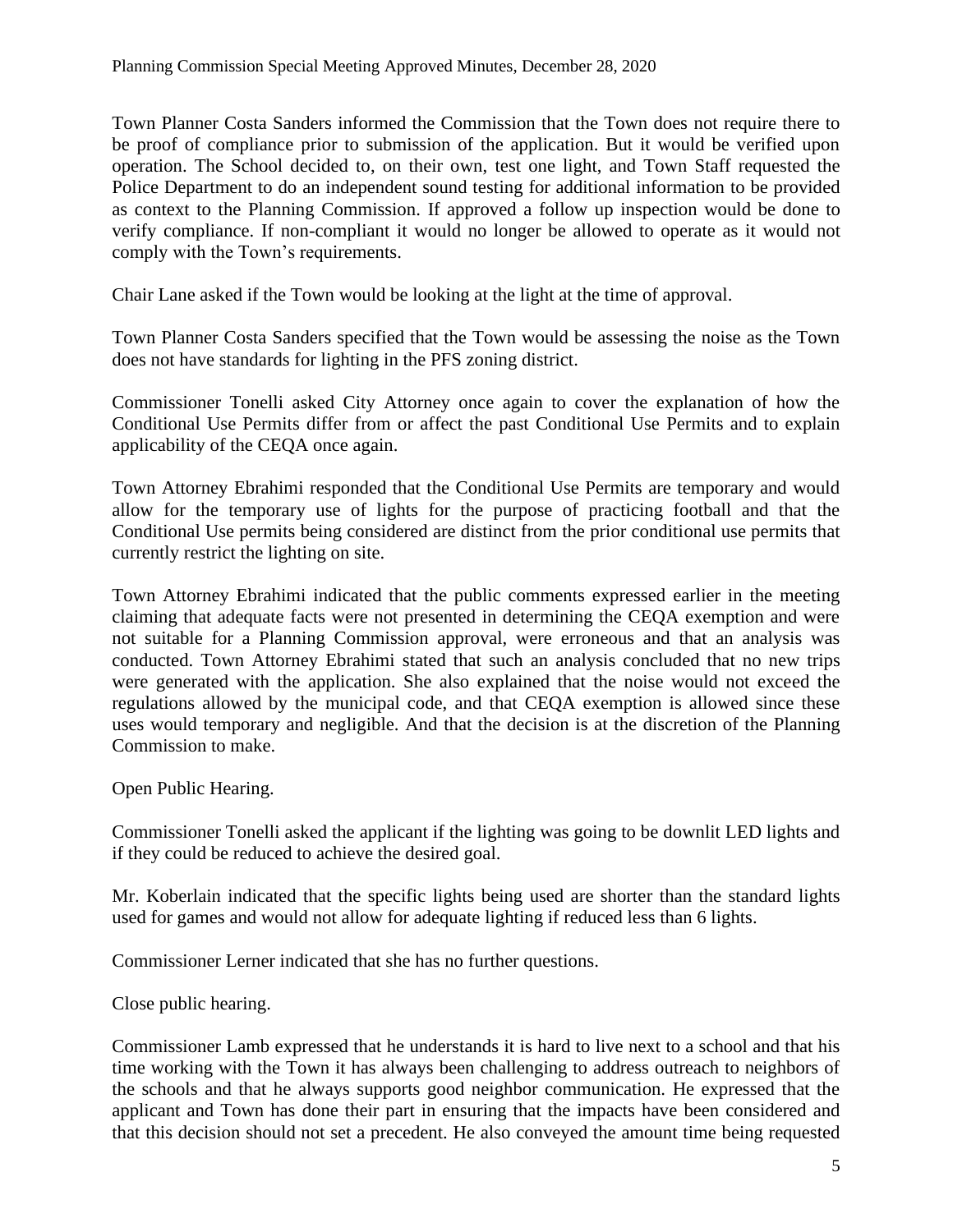Town Planner Costa Sanders informed the Commission that the Town does not require there to be proof of compliance prior to submission of the application. But it would be verified upon operation. The School decided to, on their own, test one light, and Town Staff requested the Police Department to do an independent sound testing for additional information to be provided as context to the Planning Commission. If approved a follow up inspection would be done to verify compliance. If non-compliant it would no longer be allowed to operate as it would not comply with the Town's requirements.

Chair Lane asked if the Town would be looking at the light at the time of approval.

Town Planner Costa Sanders specified that the Town would be assessing the noise as the Town does not have standards for lighting in the PFS zoning district.

Commissioner Tonelli asked City Attorney once again to cover the explanation of how the Conditional Use Permits differ from or affect the past Conditional Use Permits and to explain applicability of the CEQA once again.

Town Attorney Ebrahimi responded that the Conditional Use Permits are temporary and would allow for the temporary use of lights for the purpose of practicing football and that the Conditional Use permits being considered are distinct from the prior conditional use permits that currently restrict the lighting on site.

Town Attorney Ebrahimi indicated that the public comments expressed earlier in the meeting claiming that adequate facts were not presented in determining the CEQA exemption and were not suitable for a Planning Commission approval, were erroneous and that an analysis was conducted. Town Attorney Ebrahimi stated that such an analysis concluded that no new trips were generated with the application. She also explained that the noise would not exceed the regulations allowed by the municipal code, and that CEQA exemption is allowed since these uses would temporary and negligible. And that the decision is at the discretion of the Planning Commission to make.

Open Public Hearing.

Commissioner Tonelli asked the applicant if the lighting was going to be downlit LED lights and if they could be reduced to achieve the desired goal.

Mr. Koberlain indicated that the specific lights being used are shorter than the standard lights used for games and would not allow for adequate lighting if reduced less than 6 lights.

Commissioner Lerner indicated that she has no further questions.

Close public hearing.

Commissioner Lamb expressed that he understands it is hard to live next to a school and that his time working with the Town it has always been challenging to address outreach to neighbors of the schools and that he always supports good neighbor communication. He expressed that the applicant and Town has done their part in ensuring that the impacts have been considered and that this decision should not set a precedent. He also conveyed the amount time being requested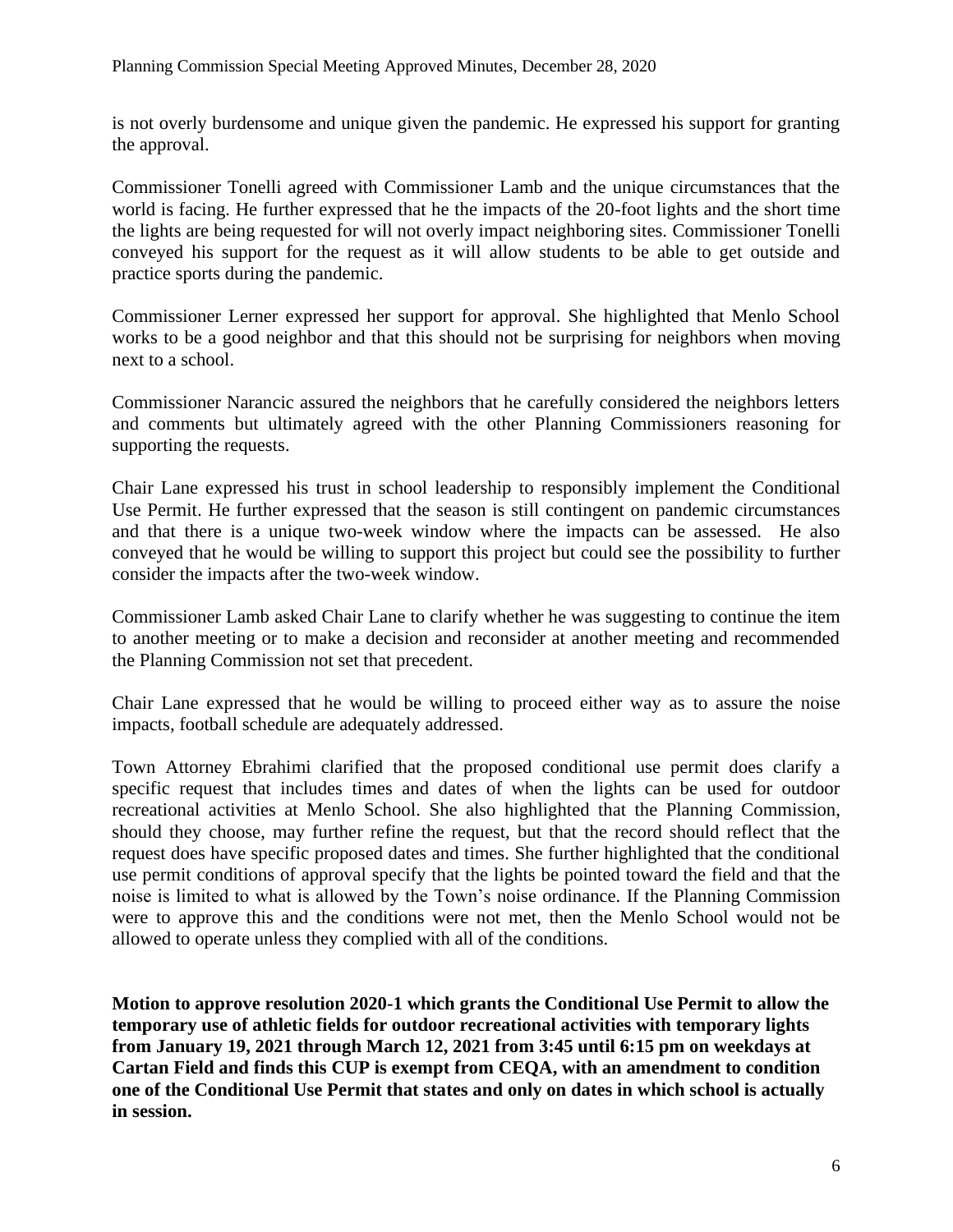is not overly burdensome and unique given the pandemic. He expressed his support for granting the approval.

Commissioner Tonelli agreed with Commissioner Lamb and the unique circumstances that the world is facing. He further expressed that he the impacts of the 20-foot lights and the short time the lights are being requested for will not overly impact neighboring sites. Commissioner Tonelli conveyed his support for the request as it will allow students to be able to get outside and practice sports during the pandemic.

Commissioner Lerner expressed her support for approval. She highlighted that Menlo School works to be a good neighbor and that this should not be surprising for neighbors when moving next to a school.

Commissioner Narancic assured the neighbors that he carefully considered the neighbors letters and comments but ultimately agreed with the other Planning Commissioners reasoning for supporting the requests.

Chair Lane expressed his trust in school leadership to responsibly implement the Conditional Use Permit. He further expressed that the season is still contingent on pandemic circumstances and that there is a unique two-week window where the impacts can be assessed. He also conveyed that he would be willing to support this project but could see the possibility to further consider the impacts after the two-week window.

Commissioner Lamb asked Chair Lane to clarify whether he was suggesting to continue the item to another meeting or to make a decision and reconsider at another meeting and recommended the Planning Commission not set that precedent.

Chair Lane expressed that he would be willing to proceed either way as to assure the noise impacts, football schedule are adequately addressed.

Town Attorney Ebrahimi clarified that the proposed conditional use permit does clarify a specific request that includes times and dates of when the lights can be used for outdoor recreational activities at Menlo School. She also highlighted that the Planning Commission, should they choose, may further refine the request, but that the record should reflect that the request does have specific proposed dates and times. She further highlighted that the conditional use permit conditions of approval specify that the lights be pointed toward the field and that the noise is limited to what is allowed by the Town's noise ordinance. If the Planning Commission were to approve this and the conditions were not met, then the Menlo School would not be allowed to operate unless they complied with all of the conditions.

**Motion to approve resolution 2020-1 which grants the Conditional Use Permit to allow the temporary use of athletic fields for outdoor recreational activities with temporary lights from January 19, 2021 through March 12, 2021 from 3:45 until 6:15 pm on weekdays at Cartan Field and finds this CUP is exempt from CEQA, with an amendment to condition one of the Conditional Use Permit that states and only on dates in which school is actually in session.**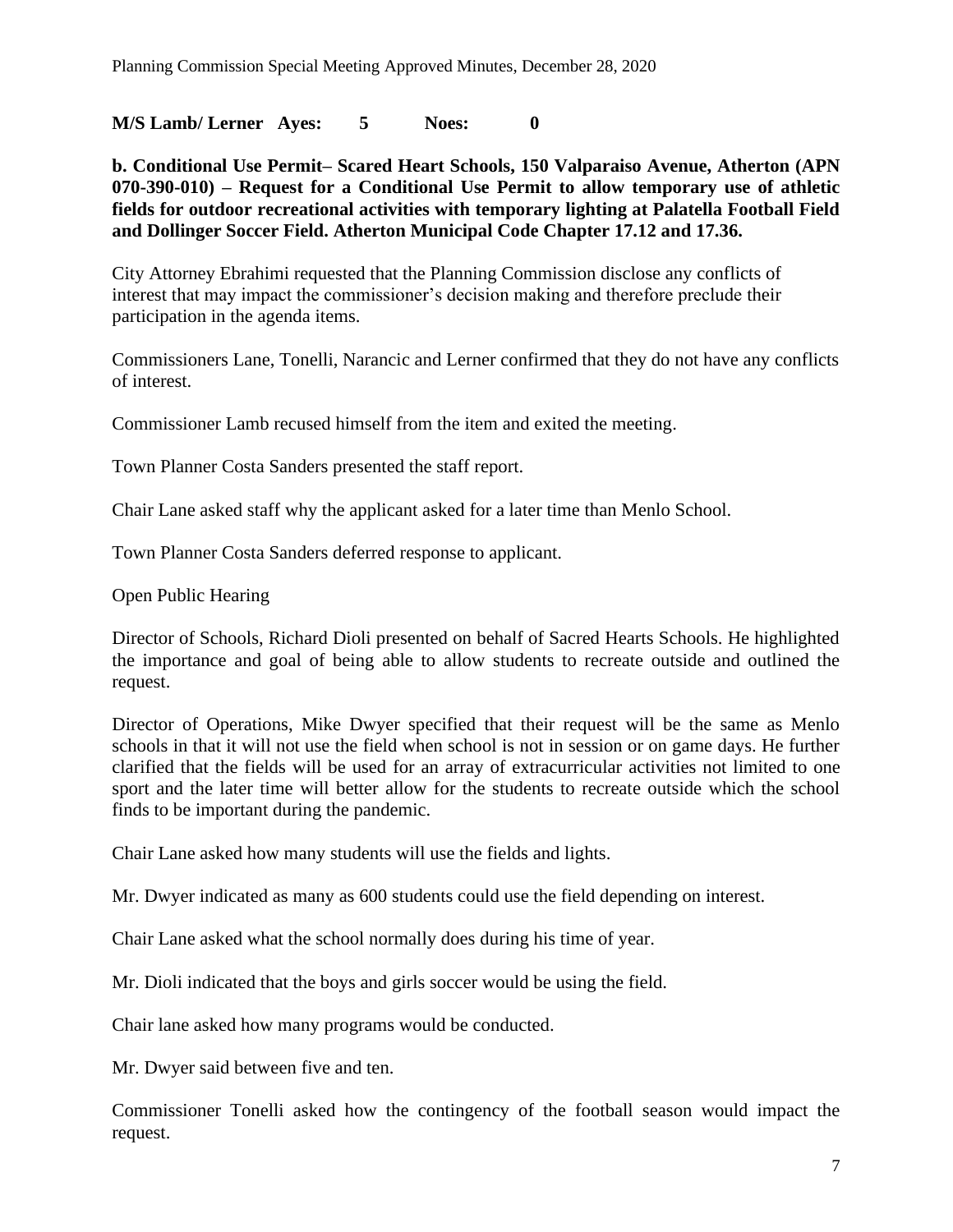**M/S Lamb/ Lerner Ayes: 5 Noes: 0** 

**b. Conditional Use Permit– Scared Heart Schools, 150 Valparaiso Avenue, Atherton (APN 070-390-010) – Request for a Conditional Use Permit to allow temporary use of athletic fields for outdoor recreational activities with temporary lighting at Palatella Football Field and Dollinger Soccer Field. Atherton Municipal Code Chapter 17.12 and 17.36.**

City Attorney Ebrahimi requested that the Planning Commission disclose any conflicts of interest that may impact the commissioner's decision making and therefore preclude their participation in the agenda items.

Commissioners Lane, Tonelli, Narancic and Lerner confirmed that they do not have any conflicts of interest.

Commissioner Lamb recused himself from the item and exited the meeting.

Town Planner Costa Sanders presented the staff report.

Chair Lane asked staff why the applicant asked for a later time than Menlo School.

Town Planner Costa Sanders deferred response to applicant.

Open Public Hearing

Director of Schools, Richard Dioli presented on behalf of Sacred Hearts Schools. He highlighted the importance and goal of being able to allow students to recreate outside and outlined the request.

Director of Operations, Mike Dwyer specified that their request will be the same as Menlo schools in that it will not use the field when school is not in session or on game days. He further clarified that the fields will be used for an array of extracurricular activities not limited to one sport and the later time will better allow for the students to recreate outside which the school finds to be important during the pandemic.

Chair Lane asked how many students will use the fields and lights.

Mr. Dwyer indicated as many as 600 students could use the field depending on interest.

Chair Lane asked what the school normally does during his time of year.

Mr. Dioli indicated that the boys and girls soccer would be using the field.

Chair lane asked how many programs would be conducted.

Mr. Dwyer said between five and ten.

Commissioner Tonelli asked how the contingency of the football season would impact the request.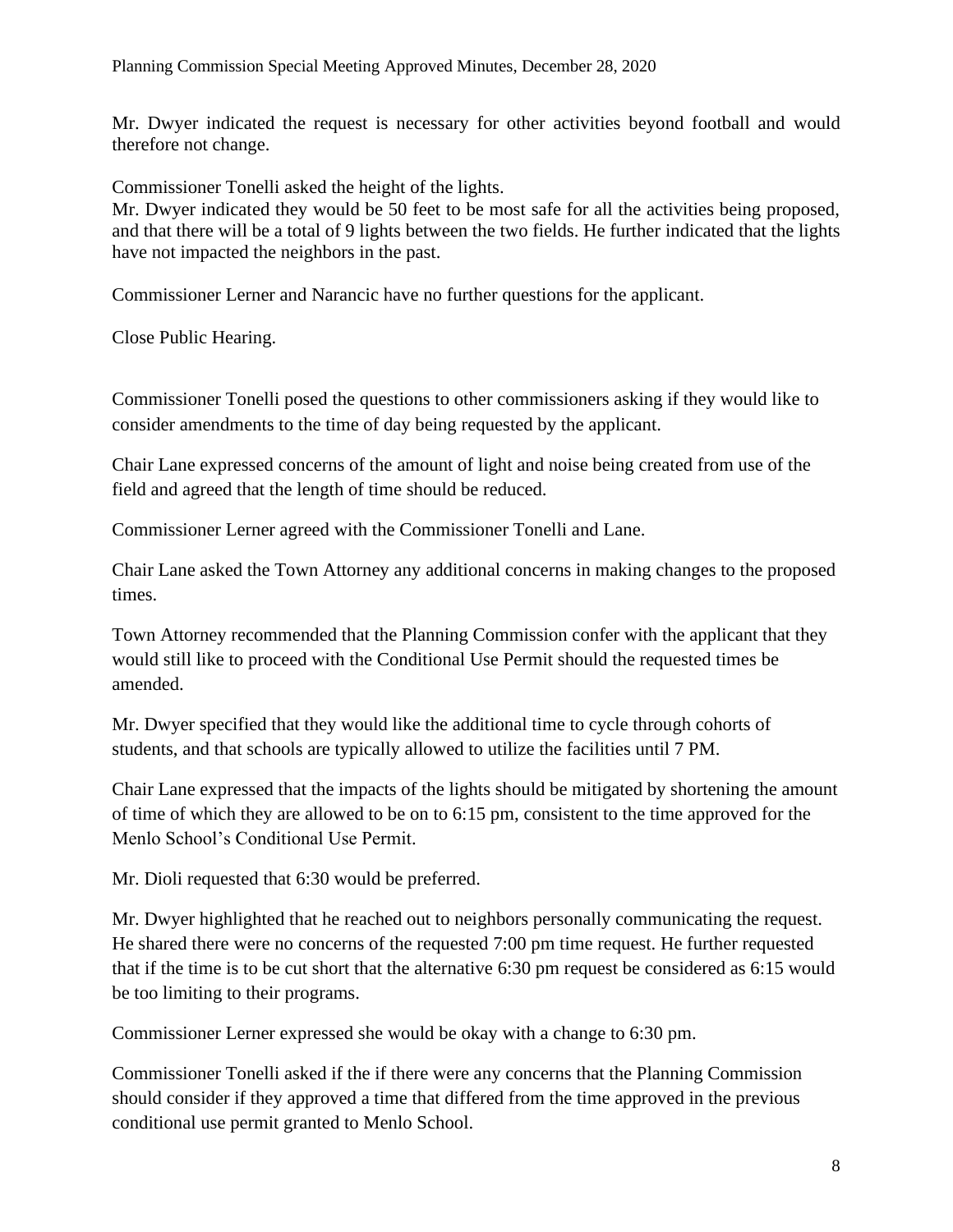Mr. Dwyer indicated the request is necessary for other activities beyond football and would therefore not change.

Commissioner Tonelli asked the height of the lights.

Mr. Dwyer indicated they would be 50 feet to be most safe for all the activities being proposed, and that there will be a total of 9 lights between the two fields. He further indicated that the lights have not impacted the neighbors in the past.

Commissioner Lerner and Narancic have no further questions for the applicant.

Close Public Hearing.

Commissioner Tonelli posed the questions to other commissioners asking if they would like to consider amendments to the time of day being requested by the applicant.

Chair Lane expressed concerns of the amount of light and noise being created from use of the field and agreed that the length of time should be reduced.

Commissioner Lerner agreed with the Commissioner Tonelli and Lane.

Chair Lane asked the Town Attorney any additional concerns in making changes to the proposed times.

Town Attorney recommended that the Planning Commission confer with the applicant that they would still like to proceed with the Conditional Use Permit should the requested times be amended.

Mr. Dwyer specified that they would like the additional time to cycle through cohorts of students, and that schools are typically allowed to utilize the facilities until 7 PM.

Chair Lane expressed that the impacts of the lights should be mitigated by shortening the amount of time of which they are allowed to be on to 6:15 pm, consistent to the time approved for the Menlo School's Conditional Use Permit.

Mr. Dioli requested that 6:30 would be preferred.

Mr. Dwyer highlighted that he reached out to neighbors personally communicating the request. He shared there were no concerns of the requested 7:00 pm time request. He further requested that if the time is to be cut short that the alternative 6:30 pm request be considered as 6:15 would be too limiting to their programs.

Commissioner Lerner expressed she would be okay with a change to 6:30 pm.

Commissioner Tonelli asked if the if there were any concerns that the Planning Commission should consider if they approved a time that differed from the time approved in the previous conditional use permit granted to Menlo School.